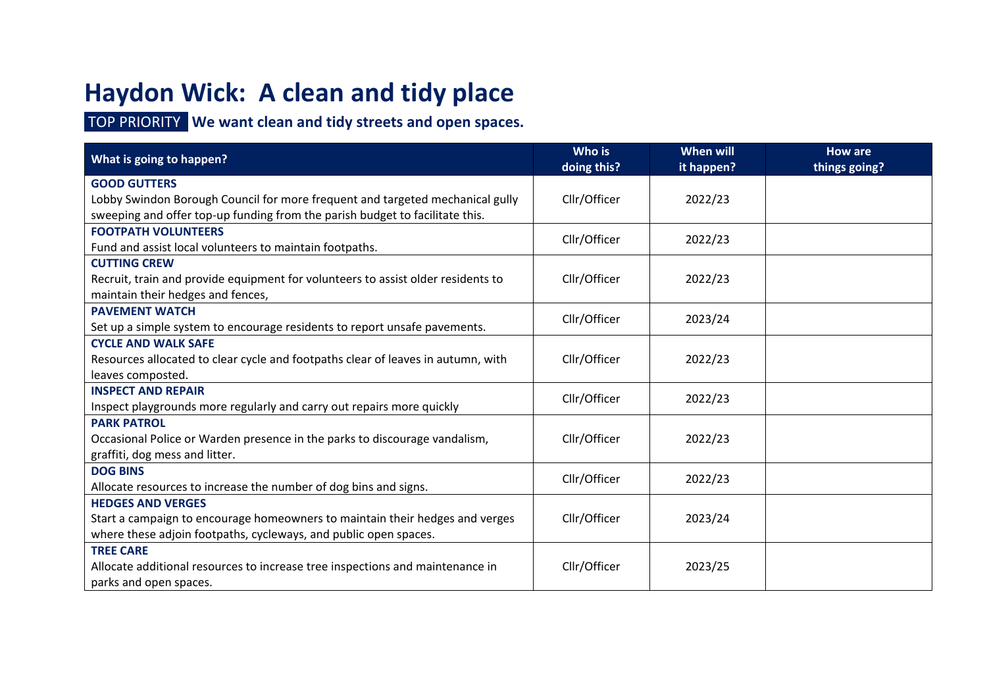# **Haydon Wick: A clean and tidy place**

#### TOP PRIORITY **We want clean and tidy streets and open spaces.**

| What is going to happen?                                                         | Who is<br>doing this? | When will<br>it happen? | <b>How are</b><br>things going? |
|----------------------------------------------------------------------------------|-----------------------|-------------------------|---------------------------------|
| <b>GOOD GUTTERS</b>                                                              |                       |                         |                                 |
| Lobby Swindon Borough Council for more frequent and targeted mechanical gully    | Cllr/Officer          | 2022/23                 |                                 |
| sweeping and offer top-up funding from the parish budget to facilitate this.     |                       |                         |                                 |
| <b>FOOTPATH VOLUNTEERS</b>                                                       | Cllr/Officer          | 2022/23                 |                                 |
| Fund and assist local volunteers to maintain footpaths.                          |                       |                         |                                 |
| <b>CUTTING CREW</b>                                                              |                       |                         |                                 |
| Recruit, train and provide equipment for volunteers to assist older residents to | Cllr/Officer          | 2022/23                 |                                 |
| maintain their hedges and fences,                                                |                       |                         |                                 |
| <b>PAVEMENT WATCH</b>                                                            | Cllr/Officer          | 2023/24                 |                                 |
| Set up a simple system to encourage residents to report unsafe pavements.        |                       |                         |                                 |
| <b>CYCLE AND WALK SAFE</b>                                                       |                       |                         |                                 |
| Resources allocated to clear cycle and footpaths clear of leaves in autumn, with | Cllr/Officer          | 2022/23                 |                                 |
| leaves composted.                                                                |                       |                         |                                 |
| <b>INSPECT AND REPAIR</b>                                                        | Cllr/Officer          | 2022/23                 |                                 |
| Inspect playgrounds more regularly and carry out repairs more quickly            |                       |                         |                                 |
| <b>PARK PATROL</b>                                                               |                       |                         |                                 |
| Occasional Police or Warden presence in the parks to discourage vandalism,       | Cllr/Officer          | 2022/23                 |                                 |
| graffiti, dog mess and litter.                                                   |                       |                         |                                 |
| <b>DOG BINS</b>                                                                  | Cllr/Officer          | 2022/23                 |                                 |
| Allocate resources to increase the number of dog bins and signs.                 |                       |                         |                                 |
| <b>HEDGES AND VERGES</b>                                                         |                       |                         |                                 |
| Start a campaign to encourage homeowners to maintain their hedges and verges     | Cllr/Officer          | 2023/24                 |                                 |
| where these adjoin footpaths, cycleways, and public open spaces.                 |                       |                         |                                 |
| <b>TREE CARE</b>                                                                 |                       |                         |                                 |
| Allocate additional resources to increase tree inspections and maintenance in    | Cllr/Officer          | 2023/25                 |                                 |
| parks and open spaces.                                                           |                       |                         |                                 |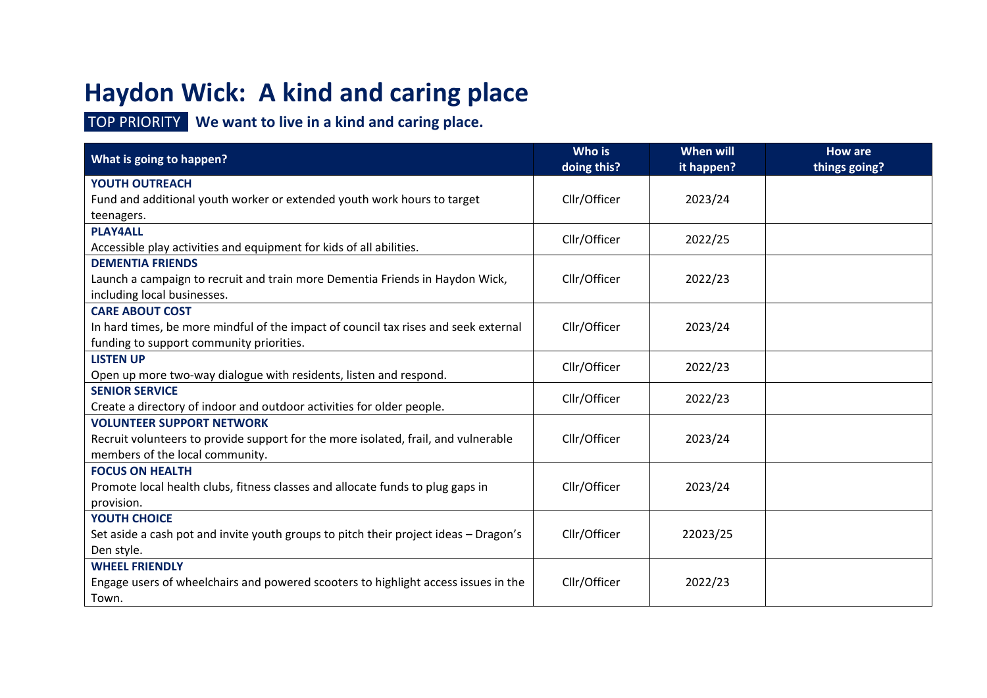# **Haydon Wick: A kind and caring place**

### TOP PRIORITY **We want to live in a kind and caring place.**

| What is going to happen?                                                             | Who is<br>doing this? | <b>When will</b><br>it happen? | <b>How are</b><br>things going? |
|--------------------------------------------------------------------------------------|-----------------------|--------------------------------|---------------------------------|
| YOUTH OUTREACH                                                                       |                       |                                |                                 |
| Fund and additional youth worker or extended youth work hours to target              | Cllr/Officer          | 2023/24                        |                                 |
| teenagers.                                                                           |                       |                                |                                 |
| <b>PLAY4ALL</b>                                                                      | Cllr/Officer          | 2022/25                        |                                 |
| Accessible play activities and equipment for kids of all abilities.                  |                       |                                |                                 |
| <b>DEMENTIA FRIENDS</b>                                                              |                       |                                |                                 |
| Launch a campaign to recruit and train more Dementia Friends in Haydon Wick,         | Cllr/Officer          | 2022/23                        |                                 |
| including local businesses.                                                          |                       |                                |                                 |
| <b>CARE ABOUT COST</b>                                                               |                       |                                |                                 |
| In hard times, be more mindful of the impact of council tax rises and seek external  | Cllr/Officer          | 2023/24                        |                                 |
| funding to support community priorities.                                             |                       |                                |                                 |
| <b>LISTEN UP</b>                                                                     | Cllr/Officer          | 2022/23                        |                                 |
| Open up more two-way dialogue with residents, listen and respond.                    |                       |                                |                                 |
| <b>SENIOR SERVICE</b>                                                                | Cllr/Officer          | 2022/23                        |                                 |
| Create a directory of indoor and outdoor activities for older people.                |                       |                                |                                 |
| <b>VOLUNTEER SUPPORT NETWORK</b>                                                     |                       |                                |                                 |
| Recruit volunteers to provide support for the more isolated, frail, and vulnerable   | Cllr/Officer          | 2023/24                        |                                 |
| members of the local community.                                                      |                       |                                |                                 |
| <b>FOCUS ON HEALTH</b>                                                               |                       |                                |                                 |
| Promote local health clubs, fitness classes and allocate funds to plug gaps in       | Cllr/Officer          | 2023/24                        |                                 |
| provision.                                                                           |                       |                                |                                 |
| YOUTH CHOICE                                                                         |                       |                                |                                 |
| Set aside a cash pot and invite youth groups to pitch their project ideas - Dragon's | Cllr/Officer          | 22023/25                       |                                 |
| Den style.                                                                           |                       |                                |                                 |
| <b>WHEEL FRIENDLY</b>                                                                |                       |                                |                                 |
| Engage users of wheelchairs and powered scooters to highlight access issues in the   | Cllr/Officer          | 2022/23                        |                                 |
| Town.                                                                                |                       |                                |                                 |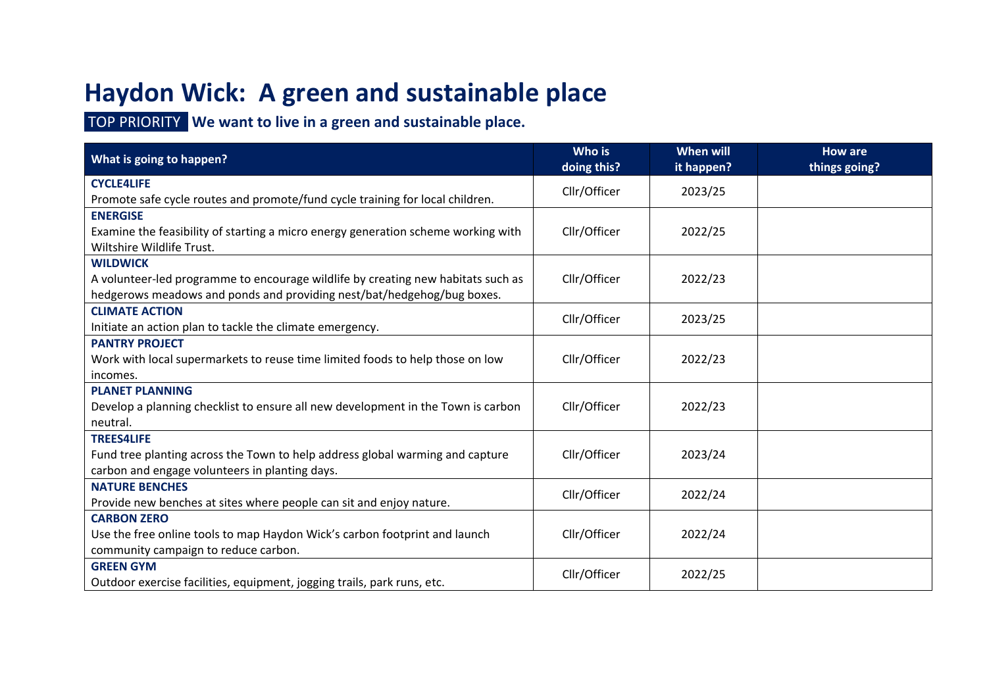# **Haydon Wick: A green and sustainable place**

TOP PRIORITY **We want to live in a green and sustainable place.**

| What is going to happen?                                                          | Who is<br>doing this? | <b>When will</b><br>it happen? | <b>How are</b><br>things going? |
|-----------------------------------------------------------------------------------|-----------------------|--------------------------------|---------------------------------|
| <b>CYCLE4LIFE</b>                                                                 | Cllr/Officer          | 2023/25                        |                                 |
| Promote safe cycle routes and promote/fund cycle training for local children.     |                       |                                |                                 |
| <b>ENERGISE</b>                                                                   |                       |                                |                                 |
| Examine the feasibility of starting a micro energy generation scheme working with | Cllr/Officer          | 2022/25                        |                                 |
| Wiltshire Wildlife Trust.                                                         |                       |                                |                                 |
| <b>WILDWICK</b>                                                                   |                       |                                |                                 |
| A volunteer-led programme to encourage wildlife by creating new habitats such as  | Cllr/Officer          | 2022/23                        |                                 |
| hedgerows meadows and ponds and providing nest/bat/hedgehog/bug boxes.            |                       |                                |                                 |
| <b>CLIMATE ACTION</b>                                                             | Cllr/Officer          | 2023/25                        |                                 |
| Initiate an action plan to tackle the climate emergency.                          |                       |                                |                                 |
| <b>PANTRY PROJECT</b>                                                             |                       |                                |                                 |
| Work with local supermarkets to reuse time limited foods to help those on low     | Cllr/Officer          | 2022/23                        |                                 |
| incomes.                                                                          |                       |                                |                                 |
| <b>PLANET PLANNING</b>                                                            |                       |                                |                                 |
| Develop a planning checklist to ensure all new development in the Town is carbon  | Cllr/Officer          | 2022/23                        |                                 |
| neutral.                                                                          |                       |                                |                                 |
| <b>TREES4LIFE</b>                                                                 |                       |                                |                                 |
| Fund tree planting across the Town to help address global warming and capture     | Cllr/Officer          | 2023/24                        |                                 |
| carbon and engage volunteers in planting days.                                    |                       |                                |                                 |
| <b>NATURE BENCHES</b>                                                             | Cllr/Officer          | 2022/24                        |                                 |
| Provide new benches at sites where people can sit and enjoy nature.               |                       |                                |                                 |
| <b>CARBON ZERO</b>                                                                |                       |                                |                                 |
| Use the free online tools to map Haydon Wick's carbon footprint and launch        | Cllr/Officer          | 2022/24                        |                                 |
| community campaign to reduce carbon.                                              |                       |                                |                                 |
| <b>GREEN GYM</b>                                                                  |                       |                                |                                 |
| Outdoor exercise facilities, equipment, jogging trails, park runs, etc.           | Cllr/Officer          | 2022/25                        |                                 |